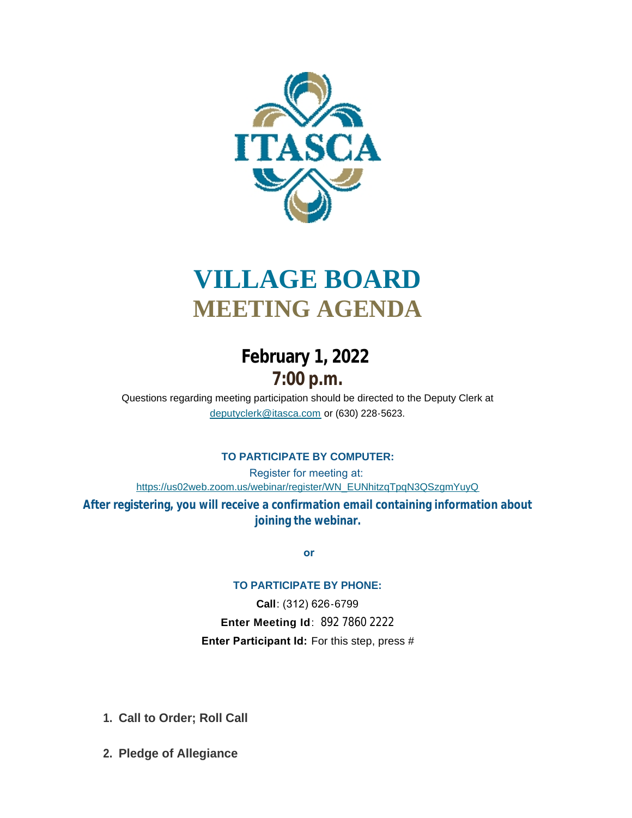

# **VILLAGE BOARD MEETING AGENDA**

## **February 1, 2022 7:00 p.m.**

[Questions regarding meeting participation sho](mailto:deputyclerk@itasca.com)uld be directed to the Deputy Clerk at deputyclerk@itasca.com or (630) 228-5623.

### **TO PARTICIPATE BY COMPUTER:**

Register for meeting at: [https://us02web.zoom.us/webinar/register/WN\\_EUNhitzqTpqN3QSzgmYuyQ](https://us02web.zoom.us/webinar/register/WN_EUNhitzqTpqN3QSzgmYuyQ)

**After registering, you will receive a confirmation email containing information about joining the webinar.**

 **or**

#### **TO PARTICIPATE BY PHONE:**

**Call**: (312) 626-6799 **Enter Meeting Id**: 892 7860 2222 **Enter Participant Id:** For this step, press #

- **Call to Order; Roll Call 1.**
- **Pledge of Allegiance 2.**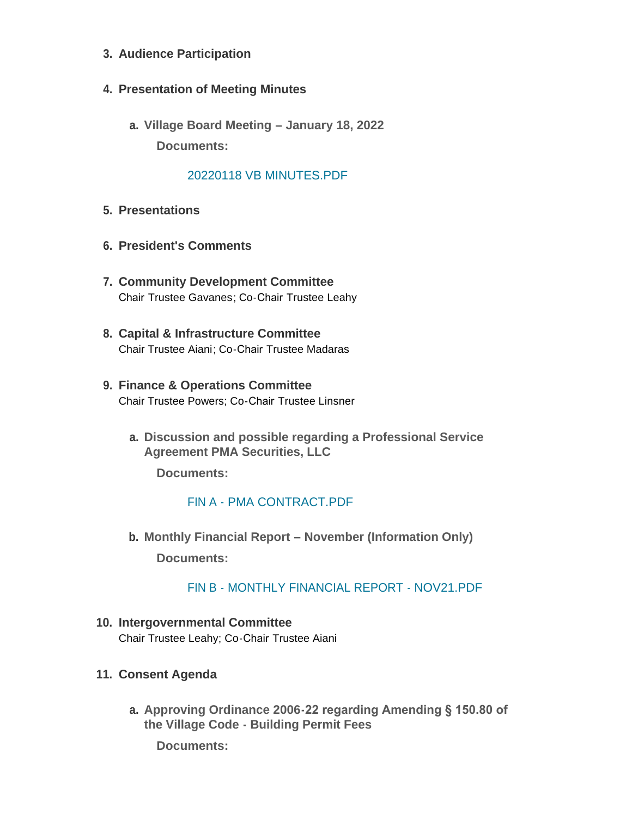- **Audience Participation 3.**
- **Presentation of Meeting Minutes 4.**
	- **Village Board Meeting – January 18, 2022 a. Documents:**

#### [20220118 VB MINUTES.PDF](http://www.itasca.com/AgendaCenter/ViewFile/Item/7348?fileID=9379)

- **Presentations 5.**
- **President's Comments 6.**
- **Community Development Committee 7.** Chair Trustee Gavanes; Co-Chair Trustee Leahy
- **Capital & Infrastructure Committee 8.** Chair Trustee Aiani; Co-Chair Trustee Madaras
- **Finance & Operations Committee 9.** Chair Trustee Powers; Co-Chair Trustee Linsner
	- **Discussion and possible regarding a Professional Service a. Agreement PMA Securities, LLC**

**Documents:**

#### FIN A - [PMA CONTRACT.PDF](http://www.itasca.com/AgendaCenter/ViewFile/Item/7349?fileID=9380)

**Monthly Financial Report – November (Information Only) b. Documents:**

#### FIN B - [MONTHLY FINANCIAL REPORT -](http://www.itasca.com/AgendaCenter/ViewFile/Item/7398?fileID=9397) NOV21.PDF

**Intergovernmental Committee 10.** Chair Trustee Leahy; Co-Chair Trustee Aiani

#### **Consent Agenda 11.**

**Approving Ordinance 2006-22 regarding Amending § 150.80 of a. the Village Code - Building Permit Fees**

**Documents:**